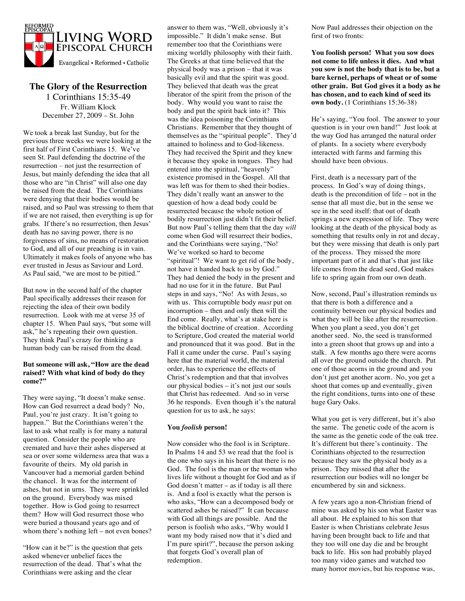

# **The Glory of the Resurrection**

1 Corinthians 15:35-49 Fr. William Klock December 27, 2009 – St. John

We took a break last Sunday, but for the previous three weeks we were looking at the first half of First Corinthians 15. We've seen St. Paul defending the doctrine of the resurrection – not just the resurrection of Jesus, but mainly defending the idea that all those who are "in Christ" will also one day be raised from the dead. The Corinthians were denying that their bodies would be raised, and so Paul was stressing to them that if we are not raised, then everything is up for grabs. If there's no resurrection, then Jesus' death has no saving power, there is no forgiveness of sins, no means of restoration to God, and all of our preaching is in vain. Ultimately it makes fools of anyone who has ever trusted in Jesus as Saviour and Lord. As Paul said, "we are most to be pitied."

But now in the second half of the chapter Paul specifically addresses their reason for rejecting the idea of their own bodily resurrection. Look with me at verse 35 of chapter 15. When Paul says, "but some will ask," he's repeating their own question. They think Paul's crazy for thinking a human body can be raised from the dead.

## **But someone will ask, "How are the dead raised? With what kind of body do they come?"**

They were saying, "It doesn't make sense. How can God resurrect a dead body? No, Paul, you're just crazy. It isn't going to happen." But the Corinthians weren't the last to ask what really is for many a natural question. Consider the people who are cremated and have their ashes dispersed at sea or over some wilderness area that was a favourite of theirs. My old parish in Vancouver had a memorial garden behind the chancel. It was for the interment of ashes, but not in urns. They were sprinkled on the ground. Everybody was mixed together. How is God going to resurrect them? How will God resurrect those who were buried a thousand years ago and of whom there's nothing left – not even bones?

"How can it be?" is the question that gets asked whenever unbelief faces the resurrection of the dead. That's what the Corinthians were asking and the clear

answer to them was, "Well, obviously it's impossible." It didn't make sense. But remember too that the Corinthians were mixing worldly philosophy with their faith. The Greeks at that time believed that the physical body was a prison – that it was basically evil and that the spirit was good. They believed that death was the great liberator of the spirit from the prison of the body. Why would you want to raise the body and put the spirit back into it? This was the idea poisoning the Corinthians Christians. Remember that they thought of themselves as the "spiritual people". They'd attained to holiness and to God-likeness. They had received the Spirit and they knew it because they spoke in tongues. They had entered into the spiritual, "heavenly" existence promised in the Gospel. All that was left was for them to shed their bodies. They didn't really want an answer to the question of how a dead body could be resurrected because the whole notion of bodily resurrection just didn't fit their belief. But now Paul's telling them that the day *will* come when God will resurrect their bodies, and the Corinthians were saying, "No! We've worked so hard to become "spiritual"! We want to get rid of the body, not have it handed back to us by God." They had denied the body in the present and had no use for it in the future. But Paul steps in and says, "No! As with Jesus, so with us. This corruptible body *must* put on incorruption – then and only then will the End come. Really, what's at stake here is the biblical doctrine of creation. According to Scripture, God created the material world and pronounced that it was good. But in the Fall it came under the curse. Paul's saying here that the material world, the material order, has to experience the effects of Christ's redemption and that that involves our physical bodies – it's not just our souls that Christ has redeemed. And so in verse 36 he responds. Even though it's the natural question for us to ask, he says:

## **You** *foolish* **person!**

Now consider who the fool is in Scripture. In Psalms 14 and 53 we read that the fool is the one who says in his heart that there is no God. The fool is the man or the woman who lives life without a thought for God and as if God doesn't matter – as if today is all there is. And a fool is exactly what the person is who asks, "How can a decomposed body or scattered ashes be raised?" It can because with God all things are possible. And the person is foolish who asks, "Why would I want my body raised now that it's died and I'm pure spirit?", because the person asking that forgets God's overall plan of redemption.

Now Paul addresses their objection on the first of two fronts:

**You foolish person! What you sow does not come to life unless it dies. And what you sow is not the body that is to be, but a bare kernel, perhaps of wheat or of some other grain. But God gives it a body as he has chosen, and to each kind of seed its own body.** (1 Corinthians 15:36-38)

He's saying, "You fool. The answer to your question is in your own hand!" Just look at the way God has arranged the natural order of plants. In a society where everybody interacted with farms and farming this should have been obvious.

First, death is a necessary part of the process. In God's way of doing things, death is the precondition of life – not in the sense that all must die, but in the sense we see in the seed itself: that out of death springs a new expression of life. They were looking at the death of the physical body as something that results only in rot and decay, but they were missing that death is only part of the process. They missed the more important part of it and that's that just like life comes from the dead seed, God makes life to spring again from our own death.

Now, second, Paul's illustration reminds us that there is both a difference and a continuity between our physical bodies and what they will be like after the resurrection. When you plant a seed, you don't get another seed. No, the seed is transformed into a green shoot that grows up and into a stalk. A few months ago there were acorns all over the ground outside the church. Put one of those acorns in the ground and you don't just get another acorn. No, you get a shoot that comes up and eventually, given the right conditions, turns into one of these huge Gary Oaks.

What you get is very different, but it's also the same. The genetic code of the acorn is the same as the genetic code of the oak tree. It's different but there's continuity. The Corinthians objected to the resurrection because they saw the physical body as a prison. They missed that after the resurrection our bodies will no longer be encumbered by sin and sickness.

A few years ago a non-Christian friend of mine was asked by his son what Easter was all about. He explained to his son that Easter is when Christians celebrate Jesus having been brought back to life and that they too will one day die and be brought back to life. His son had probably played too many video games and watched too many horror movies, but his response was,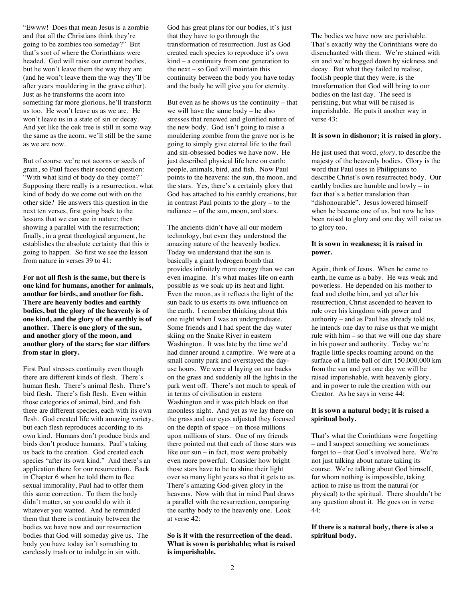"Ewww! Does that mean Jesus is a zombie and that all the Christians think they're going to be zombies too someday?" But that's sort of where the Corinthians were headed. God will raise our current bodies, but he won't leave them the way they are (and he won't leave them the way they'll be after years mouldering in the grave either). Just as he transforms the acorn into something far more glorious, he'll transform us too. He won't leave us as we are. He won't leave us in a state of sin or decay. And yet like the oak tree is still in some way the same as the acorn, we'll still be the same as we are now.

But of course we're not acorns or seeds of grain, so Paul faces their second question: "With what kind of body do they come?" Supposing there really is a resurrection, what kind of body do we come out with on the other side? He answers this question in the next ten verses, first going back to the lessons that we can see in nature; then showing a parallel with the resurrection; finally, in a great theological argument, he establishes the absolute certainty that this *is* going to happen. So first we see the lesson from nature in verses 39 to 41:

**For not all flesh is the same, but there is one kind for humans, another for animals, another for birds, and another for fish. There are heavenly bodies and earthly bodies, but the glory of the heavenly is of one kind, and the glory of the earthly is of another. There is one glory of the sun, and another glory of the moon, and another glory of the stars; for star differs from star in glory.**

First Paul stresses continuity even though there are different kinds of flesh. There's human flesh. There's animal flesh. There's bird flesh. There's fish flesh. Even within those categories of animal, bird, and fish there are different species, each with its own flesh. God created life with amazing variety, but each flesh reproduces according to its own kind. Humans don't produce birds and birds don't produce humans. Paul's taking us back to the creation. God created each species "after its own kind." And there's an application there for our resurrection. Back in Chapter 6 when he told them to flee sexual immorality, Paul had to offer them this same correction. To them the body didn't matter, so you could do with it whatever you wanted. And he reminded them that there is continuity between the bodies we have now and our resurrection bodies that God will someday give us. The body you have today isn't something to carelessly trash or to indulge in sin with.

God has great plans for our bodies, it's just that they have to go through the transformation of resurrection. Just as God created each species to reproduce it's own kind – a continuity from one generation to the next – so God will maintain this continuity between the body you have today and the body he will give you for eternity.

But even as he shows us the continuity – that we will have the same body – he also stresses that renewed and glorified nature of the new body. God isn't going to raise a mouldering zombie from the grave nor is he going to simply give eternal life to the frail and sin-obsessed bodies we have now. He just described physical life here on earth: people, animals, bird, and fish. Now Paul points to the heavens: the sun, the moon, and the stars. Yes, there's a certainly glory that God has attached to his earthly creations, but in contrast Paul points to the glory – to the radiance – of the sun, moon, and stars.

The ancients didn't have all our modern technology, but even they understood the amazing nature of the heavenly bodies. Today we understand that the sun is basically a giant hydrogen bomb that provides infinitely more energy than we can even imagine. It's what makes life on earth possible as we soak up its heat and light. Even the moon, as it reflects the light of the sun back to us exerts its own influence on the earth. I remember thinking about this one night when I was an undergraduate. Some friends and I had spent the day water skiing on the Snake River in eastern Washington. It was late by the time we'd had dinner around a campfire. We were at a small county park and overstayed the dayuse hours. We were al laying on our backs on the grass and suddenly all the lights in the park went off. There's not much to speak of in terms of civilisation in eastern Washington and it was pitch black on that moonless night. And yet as we lay there on the grass and our eyes adjusted they focused on the depth of space – on those millions upon millions of stars. One of my friends there pointed out that each of those stars was like our sun – in fact, most were probably even more powerful. Consider how bright those stars have to be to shine their light over so many light years so that it gets to us. There's amazing God-given glory in the heavens. Now with that in mind Paul draws a parallel with the resurrection, comparing the earthy body to the heavenly one. Look at verse 42:

**So is it with the resurrection of the dead. What is sown is perishable; what is raised is imperishable.**

The bodies we have now are perishable. That's exactly why the Corinthians were do disenchanted with them. We're stained with sin and we're bogged down by sickness and decay. But what they failed to realise, foolish people that they were, is the transformation that God will bring to our bodies on the last day. The seed is perishing, but what will be raised is imperishable. He puts it another way in verse 43:

#### **It is sown in dishonor; it is raised in glory.**

He just used that word, *glory*, to describe the majesty of the heavenly bodies. Glory is the word that Paul uses in Philippians to describe Christ's own resurrected body. Our earthly bodies are humble and lowly – in fact that's a better translation than "dishonourable". Jesus lowered himself when he became one of us, but now he has been raised to glory and one day will raise us to glory too.

## **It is sown in weakness; it is raised in power.**

Again, think of Jesus. When he came to earth, he came as a baby. He was weak and powerless. He depended on his mother to feed and clothe him, and yet after his resurrection, Christ ascended to heaven to rule over his kingdom with power and authority – and as Paul has already told us, he intends one day to raise us that we might rule with him – so that we will one day share in his power and authority. Today we're fragile little specks roaming around on the surface of a little ball of dirt 150,000,000 km from the sun and yet one day we will be raised imperishable, with heavenly glory, and in power to rule the creation with our Creator. As he says in verse 44:

## **It is sown a natural body; it is raised a spiritual body.**

That's what the Corinthians were forgetting – and I suspect something we sometimes forget to – that God's involved here. We're not just talking about nature taking its course. We're talking about God himself, for whom nothing is impossible, taking action to raise us from the natural (or physical) to the spiritual. There shouldn't be any question about it. He goes on in verse 44:

## **If there is a natural body, there is also a spiritual body.**